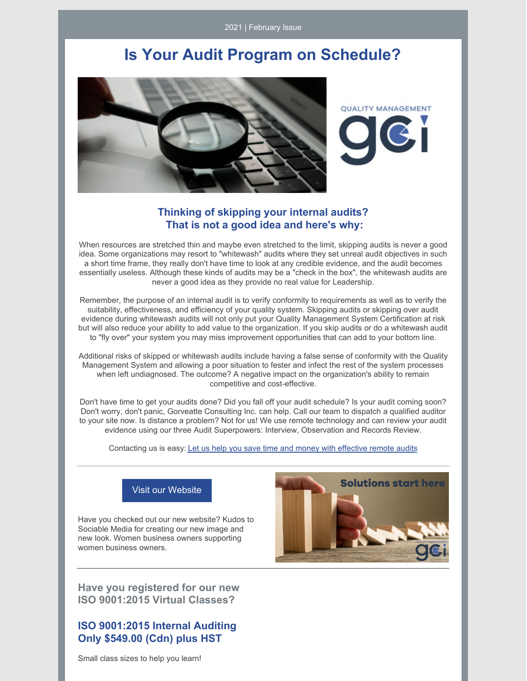2021 | February Issue

# **Is Your Audit Program on Schedule?**



**OUALITY MANAGEMENT** 

## **Thinking of skipping your internal audits? That is not a good idea and here's why:**

When resources are stretched thin and maybe even stretched to the limit, skipping audits is never a good idea. Some organizations may resort to "whitewash" audits where they set unreal audit objectives in such a short time frame, they really don't have time to look at any credible evidence, and the audit becomes essentially useless. Although these kinds of audits may be a "check in the box", the whitewash audits are never a good idea as they provide no real value for Leadership.

Remember, the purpose of an internal audit is to verify conformity to requirements as well as to verify the suitability, effectiveness, and efficiency of your quality system. Skipping audits or skipping over audit evidence during whitewash audits will not only put your Quality Management System Certification at risk but will also reduce your ability to add value to the organization. If you skip audits or do a whitewash audit to "fly over" your system you may miss improvement opportunities that can add to your bottom line.

Additional risks of skipped or whitewash audits include having a false sense of conformity with the Quality Management System and allowing a poor situation to fester and infect the rest of the system processes when left undiagnosed. The outcome? A negative impact on the organization's ability to remain competitive and cost-effective.

Don't have time to get your audits done? Did you fall off your audit schedule? Is your audit coming soon? Don't worry, don't panic, Gorveatte Consulting Inc. can help. Call our team to dispatch a qualified auditor to your site now. Is distance a problem? Not for us! We use remote technology and can review your audit evidence using our three Audit Superpowers: Interview, Observation and Records Review.

Contacting us is easy: Let us help you save time and money with [effective](mailto:info@gorveatteconsulting.com) remote audits



### Visit our [Website](http://www.gorveatteconsulting.com)

Have you checked out our new website? Kudos to Sociable Media for creating our new image and new look. Women business owners supporting women business owners.

**Have you registered for our new ISO 9001:2015 Virtual Classes?**

# **ISO 9001:2015 Internal Auditing Only \$549.00 (Cdn) plus HST**

Small class sizes to help you learn!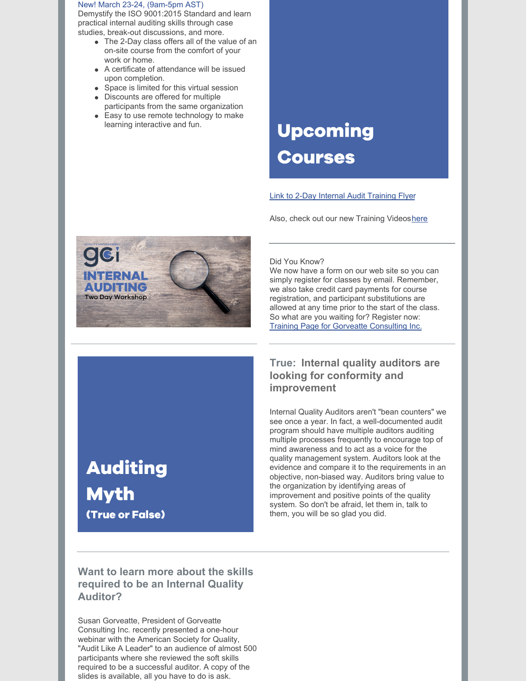#### New! March 23-24, (9am-5pm AST)

Demystify the ISO 9001:2015 Standard and learn practical internal auditing skills through case studies, break-out discussions, and more.

- The 2-Day class offers all of the value of an on-site course from the comfort of your work or home.
- A certificate of attendance will be issued upon completion.
- Space is limited for this virtual session
- Discounts are offered for multiple participants from the same organization
- Easy to use remote technology to make learning interactive and fun.

# **Upcoming Courses**

#### Link to 2-Day Internal Audit [Training](https://www.gorveatteconsulting.com/uploads/7/5/4/9/7549794/neat_business_offer_flyer__1_.pdf) Flyer

Also, check out our new Training Videos[here](https://www.gorveatteconsulting.com/training.html)



#### Did You Know?

We now have a form on our web site so you can simply register for classes by email. Remember, we also take credit card payments for course registration, and participant substitutions are allowed at any time prior to the start of the class. So what are you waiting for? Register now: Training Page for Gorveatte [Consulting](https://www.gorveatteconsulting.com/training.html) Inc.

# **True: Internal quality auditors are looking for conformity and improvement**

Internal Quality Auditors aren't "bean counters" we see once a year. In fact, a well-documented audit program should have multiple auditors auditing multiple processes frequently to encourage top of mind awareness and to act as a voice for the quality management system. Auditors look at the evidence and compare it to the requirements in an objective, non-biased way. Auditors bring value to the organization by identifying areas of improvement and positive points of the quality system. So don't be afraid, let them in, talk to them, you will be so glad you did.

# **Auditing Myth** (True or False)

# **Want to learn more about the skills required to be an Internal Quality Auditor?**

Susan Gorveatte, President of Gorveatte Consulting Inc. recently presented a one-hour webinar with the American Society for Quality, "Audit Like A Leader" to an audience of almost 500 participants where she reviewed the soft skills required to be a successful auditor. A copy of the slides is available, all you have to do is ask.